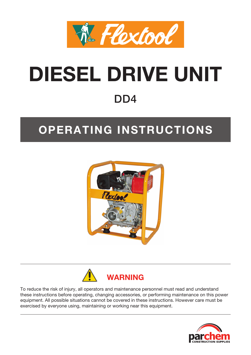

# **DIESEL DRIVE UNIT** DD<sub>4</sub>

# **OPERATING INSTRUCTIONS**





To reduce the risk of injury, all operators and maintenance personnel must read and understand these instructions before operating, changing accessories, or performing maintenance on this power equipment. All possible situations cannot be covered in these instructions. However care must be exercised by everyone using, maintaining or working near this equipment.

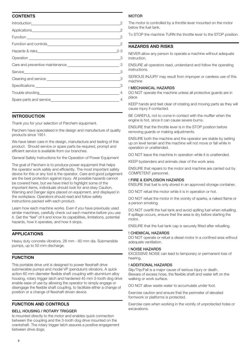# **CONTENTS**

| Trouble shooting 4 |  |
|--------------------|--|
|                    |  |
|                    |  |

### **INTRODUCTION**

Thank you for your selection of Parchem equipment.

Parchem have specialised in the design and manufacture of quality products since 1951.

We have taken care in the design, manufacture and testing of this product. Should service or spare parts be required, prompt and efficient service is available from our branches.

General Safety Instructions for the Operation of Power Equipment

The goal of Parchem is to produce power equipment that helps the operator work safely and efficiently. The most important safety device for this or any tool is the operator. Care and good judgement are the best protection against injury. All possible hazards cannot be covered here, but we have tried to highlight some of the important items, individuals should look for and obey Caution, Warning and Danger signs placed on equipment, and displayed in the workplace. Operators should read and follow safety instructions packed with each product.

Learn how each machine works. Even if you have previously used similar machines, carefully check out each machine before you use it. Get the "feel" of it and know its capabilities, limitations, potential hazards, how it operates, and how it stops.

#### **APPLICATIONS**

Heavy duty concrete vibrators, 28 mm - 60 mm dia. Submersible pumps, up to 50 mm discharge.

# **FUNCTION**

This portable drive unit is designed to power flexshaft drive submersible pumps and model VP (pendulum) vibrators. A quick action 60 mm diameter flexible shaft coupling with aluminium alloy housing, rotary trigger latch and hardened 45 mm 3-tooth dog drive enable ease of use by allowing the operator to simply engage or disengage the flexible shaft coupling, to facilitate either a change of position or a change of flexshaft driven device.

# **FUNCTION AND CONTROLS**

# BELL HOUSING / ROTARY TRIGGER

Is mounted directly to the motor and enables quick connection between the coupling and the 3-tooth dog drive mounted on the crankshaft. The rotary trigger latch assures a positive engagement between drive dogs.

# **MOTOR**

The motor is controlled by a throttle lever mounted on the motor below the fuel tank.

To STOP the machine TURN the throttle lever to the STOP position.

# **HAZARDS AND RISKS**

NEVER allow any person to operate a machine without adequate instruction.

ENSURE all operators read, understand and follow the operating instructions.

SERIOUS INJURY may result from improper or careless use of this machine

#### ! MECHANICAL HAZARDS

DO NOT operate the machine unless all protective guards are in place

KEEP hands and feet clear of rotating and moving parts as they will cause injury if contacted.

BE CAREFUL not to come in contact with the muffler when the engine is hot, since it can cause severe burns.

ENSURE that the throttle lever is in the STOP position before removing guards or making adjustments.

ENSURE both the machine and the operator are stable by setting up on level terrain and the machine will not move or fall while in operation or unattended.

DO NOT leave the machine in operation while it is unattended.

KEEP bystanders and animals clear of the work area.

ENSURE that repairs to the motor and machine are carried out by COMPETENT personnel.

#### ! FIRE & EXPLOSION HAZARDS

ENSURE that fuel is only stored in an approved storage container.

DO NOT refuel the motor while it is in operation or hot.

DO NOT refuel the motor in the vicinity of sparks, a naked flame or a person smoking.

DO NOT overfill the fuel tank and avoid spilling fuel when refuelling. If spillage occurs, ensure that the area is dry before starting the motor.

ENSURE that the fuel tank cap is securely fitted after refuelling.

#### ! CHEMICAL HAZARDS

DO NOT operate or refuel a diesel motor in a confined area without adequate ventilation.

#### ! NOISE HAZARDS

EXCESSIVE NOISE can lead to temporary or permanent loss of hearing.

#### ! ADDITIONAL HAZARDS

Slip/Trip/Fall is a major cause of serious injury or death. Beware of excess hose, the flexible shaft and water left on the walking or work surface.

DO NOT allow waste water to accumulate under foot.

Exercise caution and ensure that the perimeter of elevated formwork or platforms is protected.

Exercise care when working in the vicinity of unprotected holes or excavations.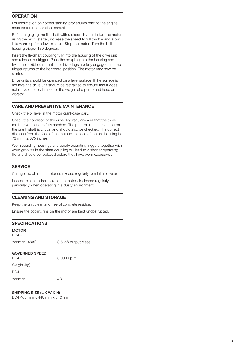# **OPERATION**

For information on correct starting procedures refer to the engine manufacturers operation manual.

Before engaging the flexshaft with a diesel drive unit start the motor using the recoil starter, increase the speed to full throttle and allow it to warm up for a few minutes. Stop the motor. Turn the bell housing trigger 180 degrees.

Insert the flexshaft coupling fully into the housing of the drive unit and release the trigger. Push the coupling into the housing and twist the flexible shaft until the drive dogs are fully engaged and the trigger returns to the horizontal position. The motor may now be started.

Drive units should be operated on a level surface. If the surface is not level the drive unit should be restrained to ensure that it does not move due to vibration or the weight of a pump and hose or vibrator.

#### **CARE AND PREVENTIVE MAINTENANCE**

Check the oil level in the motor crankcase daily.

Check the condition of the drive dog regularly and that the three tooth drive dogs are fully meshed. The position of the drive dog on the crank shaft is critical and should also be checked. The correct distance from the face of the teeth to the face of the bell housing is 73 mm. (2.875 inches).

Worn coupling housings and poorly operating triggers together with worn grooves in the shaft coupling will lead to a shorter operating life and should be replaced before they have worn excessively.

## **SERVICE**

Change the oil in the motor crankcase regularly to minimise wear.

Inspect, clean and/or replace the motor air cleaner regularly, particularly when operating in a dusty environment.

#### **CLEANING AND STORAGE**

Keep the unit clean and free of concrete residue.

Ensure the cooling fins on the motor are kept unobstructed.

#### **SPECIFICATIONS**

MOTOR  $DD4 -$ 

Yanmar L48AE 3.5 kW output diesel.

#### GOVERNED SPEED

DD4 - 3,000 r.p.m Weight (kg) DD4 -

Yanmar 43

SHIPPING SIZE (L X W X H)

DD4 460 mm x 440 mm x 540 mm